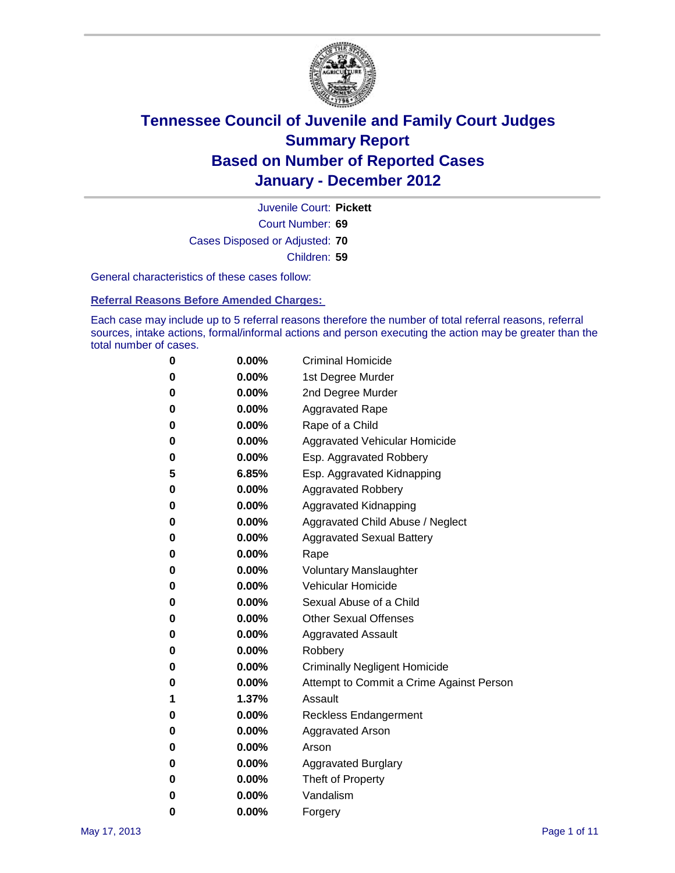

Court Number: **69** Juvenile Court: **Pickett** Cases Disposed or Adjusted: **70** Children: **59**

General characteristics of these cases follow:

**Referral Reasons Before Amended Charges:** 

Each case may include up to 5 referral reasons therefore the number of total referral reasons, referral sources, intake actions, formal/informal actions and person executing the action may be greater than the total number of cases.

| 0 | $0.00\%$ | <b>Criminal Homicide</b>                 |
|---|----------|------------------------------------------|
| 0 | $0.00\%$ | 1st Degree Murder                        |
| 0 | $0.00\%$ | 2nd Degree Murder                        |
| 0 | $0.00\%$ | <b>Aggravated Rape</b>                   |
| 0 | $0.00\%$ | Rape of a Child                          |
| 0 | $0.00\%$ | Aggravated Vehicular Homicide            |
| 0 | $0.00\%$ | Esp. Aggravated Robbery                  |
| 5 | 6.85%    | Esp. Aggravated Kidnapping               |
| 0 | $0.00\%$ | <b>Aggravated Robbery</b>                |
| 0 | $0.00\%$ | Aggravated Kidnapping                    |
| 0 | $0.00\%$ | Aggravated Child Abuse / Neglect         |
| 0 | 0.00%    | <b>Aggravated Sexual Battery</b>         |
| 0 | 0.00%    | Rape                                     |
| 0 | $0.00\%$ | <b>Voluntary Manslaughter</b>            |
| 0 | $0.00\%$ | Vehicular Homicide                       |
| 0 | $0.00\%$ | Sexual Abuse of a Child                  |
| 0 | $0.00\%$ | <b>Other Sexual Offenses</b>             |
| 0 | $0.00\%$ | <b>Aggravated Assault</b>                |
| 0 | $0.00\%$ | Robbery                                  |
| 0 | $0.00\%$ | <b>Criminally Negligent Homicide</b>     |
| 0 | $0.00\%$ | Attempt to Commit a Crime Against Person |
| 1 | 1.37%    | Assault                                  |
| 0 | $0.00\%$ | <b>Reckless Endangerment</b>             |
| 0 | 0.00%    | <b>Aggravated Arson</b>                  |
| 0 | $0.00\%$ | Arson                                    |
| 0 | $0.00\%$ | <b>Aggravated Burglary</b>               |
| 0 | $0.00\%$ | Theft of Property                        |
| 0 | $0.00\%$ | Vandalism                                |
| 0 | 0.00%    | Forgery                                  |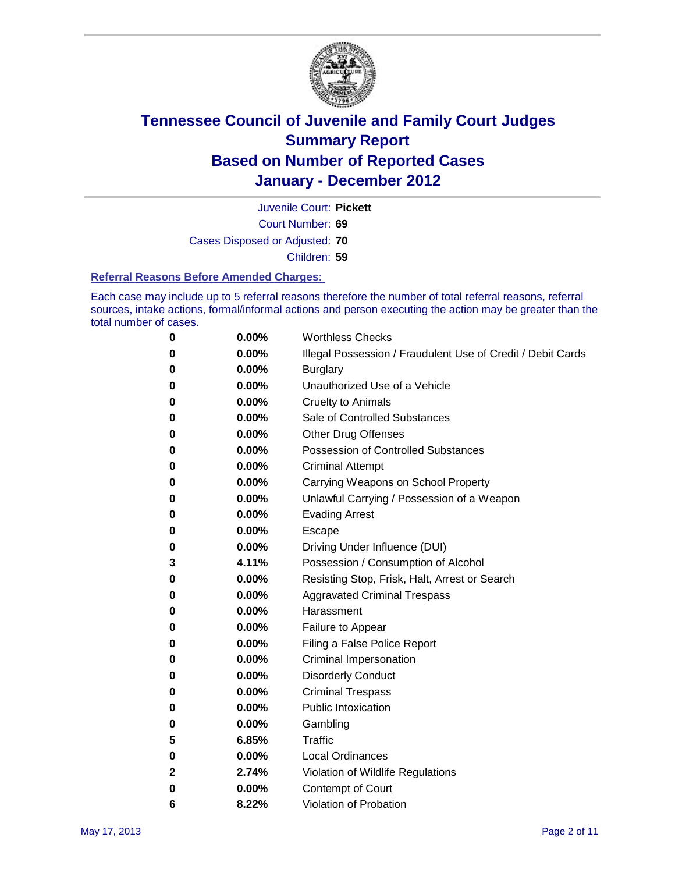

Court Number: **69** Juvenile Court: **Pickett**

Cases Disposed or Adjusted: **70**

Children: **59**

#### **Referral Reasons Before Amended Charges:**

Each case may include up to 5 referral reasons therefore the number of total referral reasons, referral sources, intake actions, formal/informal actions and person executing the action may be greater than the total number of cases.

| 0 | 0.00%    | <b>Worthless Checks</b>                                     |
|---|----------|-------------------------------------------------------------|
| 0 | 0.00%    | Illegal Possession / Fraudulent Use of Credit / Debit Cards |
| 0 | 0.00%    | <b>Burglary</b>                                             |
| 0 | $0.00\%$ | Unauthorized Use of a Vehicle                               |
| 0 | $0.00\%$ | <b>Cruelty to Animals</b>                                   |
| 0 | $0.00\%$ | Sale of Controlled Substances                               |
| 0 | $0.00\%$ | <b>Other Drug Offenses</b>                                  |
| 0 | 0.00%    | <b>Possession of Controlled Substances</b>                  |
| 0 | 0.00%    | <b>Criminal Attempt</b>                                     |
| 0 | 0.00%    | Carrying Weapons on School Property                         |
| 0 | 0.00%    | Unlawful Carrying / Possession of a Weapon                  |
| 0 | $0.00\%$ | <b>Evading Arrest</b>                                       |
| 0 | $0.00\%$ | Escape                                                      |
| 0 | $0.00\%$ | Driving Under Influence (DUI)                               |
| 3 | 4.11%    | Possession / Consumption of Alcohol                         |
| 0 | $0.00\%$ | Resisting Stop, Frisk, Halt, Arrest or Search               |
| 0 | $0.00\%$ | <b>Aggravated Criminal Trespass</b>                         |
| 0 | $0.00\%$ | Harassment                                                  |
| 0 | 0.00%    | Failure to Appear                                           |
| 0 | 0.00%    | Filing a False Police Report                                |
| 0 | 0.00%    | Criminal Impersonation                                      |
| 0 | 0.00%    | <b>Disorderly Conduct</b>                                   |
| 0 | 0.00%    | <b>Criminal Trespass</b>                                    |
| 0 | 0.00%    | <b>Public Intoxication</b>                                  |
| 0 | $0.00\%$ | Gambling                                                    |
| 5 | 6.85%    | Traffic                                                     |
| 0 | $0.00\%$ | <b>Local Ordinances</b>                                     |
| 2 | 2.74%    | Violation of Wildlife Regulations                           |
| 0 | $0.00\%$ | Contempt of Court                                           |
| 6 | 8.22%    | Violation of Probation                                      |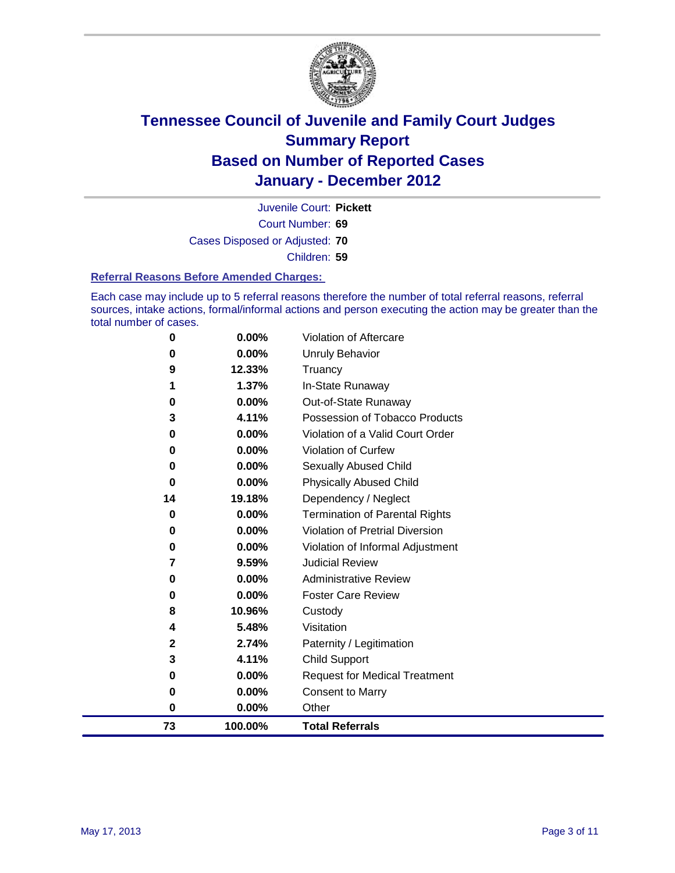

Court Number: **69** Juvenile Court: **Pickett** Cases Disposed or Adjusted: **70** Children: **59**

#### **Referral Reasons Before Amended Charges:**

Each case may include up to 5 referral reasons therefore the number of total referral reasons, referral sources, intake actions, formal/informal actions and person executing the action may be greater than the total number of cases.

| 73          | 100.00% | <b>Total Referrals</b>                 |
|-------------|---------|----------------------------------------|
| 0           | 0.00%   | Other                                  |
| 0           | 0.00%   | <b>Consent to Marry</b>                |
| 0           | 0.00%   | <b>Request for Medical Treatment</b>   |
| 3           | 4.11%   | <b>Child Support</b>                   |
| $\mathbf 2$ | 2.74%   | Paternity / Legitimation               |
| 4           | 5.48%   | Visitation                             |
| 8           | 10.96%  | Custody                                |
| 0           | 0.00%   | <b>Foster Care Review</b>              |
| 0           | 0.00%   | <b>Administrative Review</b>           |
| 7           | 9.59%   | <b>Judicial Review</b>                 |
| 0           | 0.00%   | Violation of Informal Adjustment       |
| $\bf{0}$    | 0.00%   | <b>Violation of Pretrial Diversion</b> |
| 0           | 0.00%   | Termination of Parental Rights         |
| 14          | 19.18%  | Dependency / Neglect                   |
| $\bf{0}$    | 0.00%   | <b>Physically Abused Child</b>         |
| 0           | 0.00%   | Sexually Abused Child                  |
| 0           | 0.00%   | Violation of Curfew                    |
| 0           | 0.00%   | Violation of a Valid Court Order       |
| 3           | 4.11%   | Possession of Tobacco Products         |
| 0           | 0.00%   | Out-of-State Runaway                   |
| 1           | 1.37%   | In-State Runaway                       |
| 9           | 12.33%  | Truancy                                |
| 0           | 0.00%   | <b>Unruly Behavior</b>                 |
| 0           | 0.00%   | <b>Violation of Aftercare</b>          |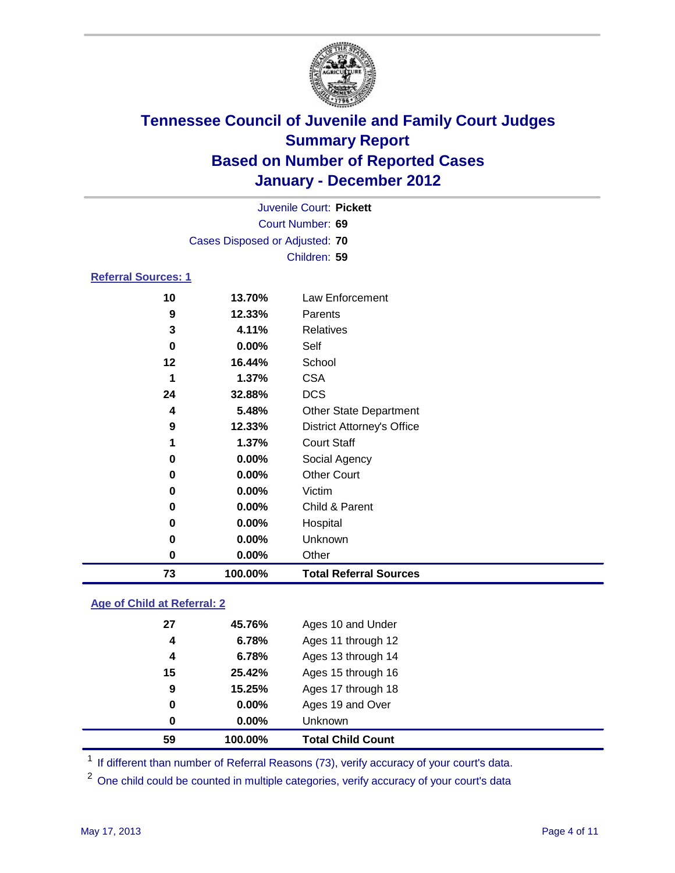

|                            |                                | Juvenile Court: Pickett           |
|----------------------------|--------------------------------|-----------------------------------|
|                            |                                | Court Number: 69                  |
|                            | Cases Disposed or Adjusted: 70 |                                   |
|                            |                                | Children: 59                      |
| <b>Referral Sources: 1</b> |                                |                                   |
| 10                         | 13.70%                         | Law Enforcement                   |
| 9                          | 12.33%                         | Parents                           |
| 3                          | 4.11%                          | <b>Relatives</b>                  |
| 0                          | 0.00%                          | Self                              |
| 12                         | 16.44%                         | School                            |
| 1                          | 1.37%                          | <b>CSA</b>                        |
| 24                         | 32.88%                         | <b>DCS</b>                        |
| 4                          | 5.48%                          | Other State Department            |
| 9                          | 12.33%                         | <b>District Attorney's Office</b> |
| 1                          | 1.37%                          | <b>Court Staff</b>                |
| 0                          | 0.00%                          | Social Agency                     |
| 0                          | 0.00%                          | <b>Other Court</b>                |
| 0                          | 0.00%                          | Victim                            |
| 0                          | 0.00%                          | Child & Parent                    |
| 0                          | 0.00%                          | Hospital                          |
| 0                          | 0.00%                          | Unknown                           |
| $\bf{0}$                   | 0.00%                          | Other                             |
| 73                         | 100.00%                        | <b>Total Referral Sources</b>     |

### **Age of Child at Referral: 2**

| 0  | 0.00%  | <b>Unknown</b>     |
|----|--------|--------------------|
| 0  | 0.00%  | Ages 19 and Over   |
| 9  | 15.25% | Ages 17 through 18 |
| 15 | 25.42% | Ages 15 through 16 |
| 4  | 6.78%  | Ages 13 through 14 |
| 4  | 6.78%  | Ages 11 through 12 |
| 27 | 45.76% | Ages 10 and Under  |
|    |        |                    |

<sup>1</sup> If different than number of Referral Reasons (73), verify accuracy of your court's data.

<sup>2</sup> One child could be counted in multiple categories, verify accuracy of your court's data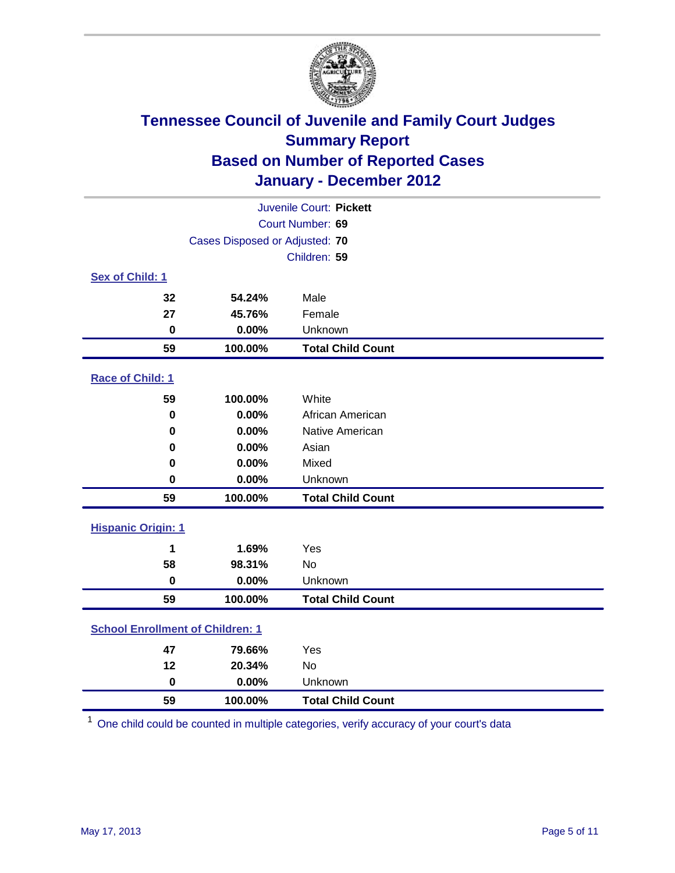

| Juvenile Court: Pickett                 |                                |                          |  |  |
|-----------------------------------------|--------------------------------|--------------------------|--|--|
| Court Number: 69                        |                                |                          |  |  |
|                                         | Cases Disposed or Adjusted: 70 |                          |  |  |
|                                         |                                | Children: 59             |  |  |
| Sex of Child: 1                         |                                |                          |  |  |
| 32                                      | 54.24%                         | Male                     |  |  |
| 27                                      | 45.76%                         | Female                   |  |  |
| $\mathbf 0$                             | 0.00%                          | Unknown                  |  |  |
| 59                                      | 100.00%                        | <b>Total Child Count</b> |  |  |
| Race of Child: 1                        |                                |                          |  |  |
| 59                                      | 100.00%                        | White                    |  |  |
| $\mathbf 0$                             | 0.00%                          | African American         |  |  |
| 0                                       | 0.00%                          | Native American          |  |  |
| 0                                       | 0.00%                          | Asian                    |  |  |
| 0                                       | 0.00%                          | Mixed                    |  |  |
| $\mathbf 0$                             | 0.00%                          | Unknown                  |  |  |
| 59                                      | 100.00%                        | <b>Total Child Count</b> |  |  |
| <b>Hispanic Origin: 1</b>               |                                |                          |  |  |
| 1                                       | 1.69%                          | Yes                      |  |  |
| 58                                      | 98.31%                         | No                       |  |  |
| $\mathbf 0$                             | 0.00%                          | Unknown                  |  |  |
| 59                                      | 100.00%                        | <b>Total Child Count</b> |  |  |
| <b>School Enrollment of Children: 1</b> |                                |                          |  |  |
| 47                                      | 79.66%                         | Yes                      |  |  |
| 12                                      | 20.34%                         | No                       |  |  |
| $\mathbf 0$                             | 0.00%                          | Unknown                  |  |  |
| 59                                      | 100.00%                        | <b>Total Child Count</b> |  |  |

One child could be counted in multiple categories, verify accuracy of your court's data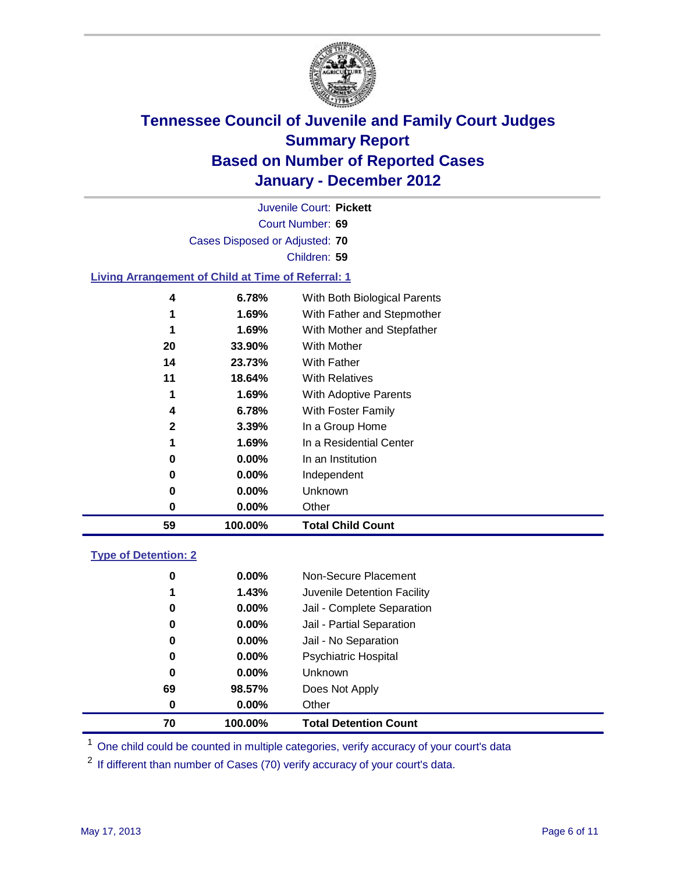

Court Number: **69** Juvenile Court: **Pickett** Cases Disposed or Adjusted: **70** Children: **59 Living Arrangement of Child at Time of Referral: 1**

| 59           | 100.00%  | <b>Total Child Count</b>     |
|--------------|----------|------------------------------|
| 0            | $0.00\%$ | Other                        |
| 0            | 0.00%    | Unknown                      |
| 0            | $0.00\%$ | Independent                  |
| 0            | $0.00\%$ | In an Institution            |
| 1            | 1.69%    | In a Residential Center      |
| $\mathbf{2}$ | 3.39%    | In a Group Home              |
| 4            | 6.78%    | With Foster Family           |
| 1            | 1.69%    | With Adoptive Parents        |
| 11           | 18.64%   | <b>With Relatives</b>        |
| 14           | 23.73%   | With Father                  |
| 20           | 33.90%   | With Mother                  |
| 1            | 1.69%    | With Mother and Stepfather   |
| 1            | 1.69%    | With Father and Stepmother   |
| 4            | 6.78%    | With Both Biological Parents |
|              |          |                              |

### **Type of Detention: 2**

| 70 | 100.00%  | <b>Total Detention Count</b> |
|----|----------|------------------------------|
| 0  | $0.00\%$ | Other                        |
| 69 | 98.57%   | Does Not Apply               |
| 0  | $0.00\%$ | <b>Unknown</b>               |
| 0  | 0.00%    | <b>Psychiatric Hospital</b>  |
| 0  | 0.00%    | Jail - No Separation         |
| 0  | $0.00\%$ | Jail - Partial Separation    |
| 0  | $0.00\%$ | Jail - Complete Separation   |
| 1  | 1.43%    | Juvenile Detention Facility  |
| 0  | $0.00\%$ | Non-Secure Placement         |
|    |          |                              |

<sup>1</sup> One child could be counted in multiple categories, verify accuracy of your court's data

<sup>2</sup> If different than number of Cases (70) verify accuracy of your court's data.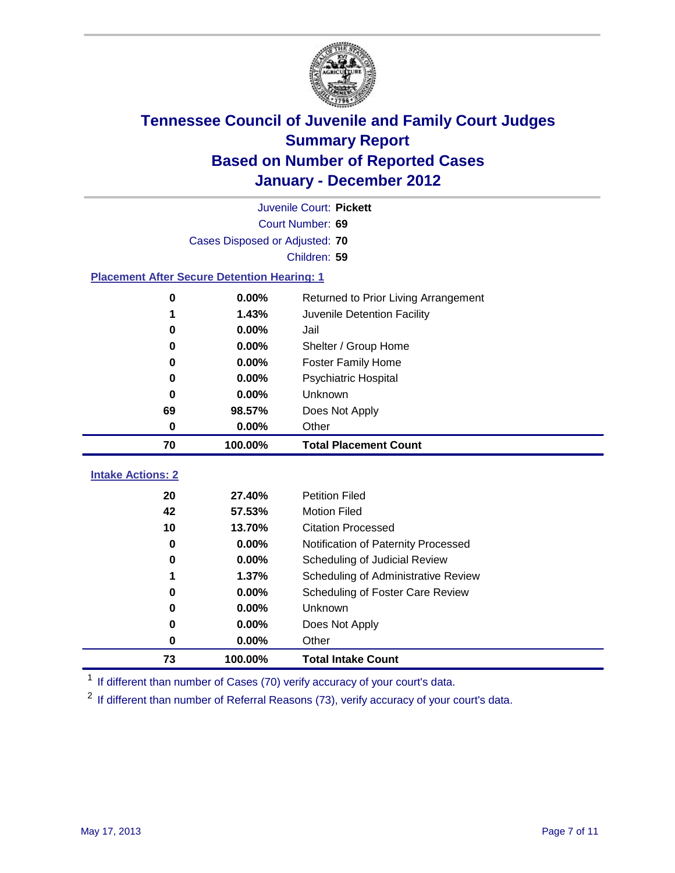

|                                                    | Juvenile Court: Pickett        |                                      |  |  |  |
|----------------------------------------------------|--------------------------------|--------------------------------------|--|--|--|
|                                                    | Court Number: 69               |                                      |  |  |  |
|                                                    | Cases Disposed or Adjusted: 70 |                                      |  |  |  |
|                                                    |                                | Children: 59                         |  |  |  |
| <b>Placement After Secure Detention Hearing: 1</b> |                                |                                      |  |  |  |
| $\bf{0}$                                           | 0.00%                          | Returned to Prior Living Arrangement |  |  |  |
| 1                                                  | 1.43%                          | Juvenile Detention Facility          |  |  |  |
| 0                                                  | 0.00%                          | Jail                                 |  |  |  |
| $\bf{0}$                                           | 0.00%                          | Shelter / Group Home                 |  |  |  |
| 0                                                  | 0.00%                          | <b>Foster Family Home</b>            |  |  |  |
| 0                                                  | 0.00%                          | Psychiatric Hospital                 |  |  |  |
| 0                                                  | 0.00%                          | Unknown                              |  |  |  |
| 69                                                 | 98.57%                         | Does Not Apply                       |  |  |  |
| $\pmb{0}$                                          | 0.00%                          | Other                                |  |  |  |
| 70                                                 | 100.00%                        | <b>Total Placement Count</b>         |  |  |  |
| <b>Intake Actions: 2</b>                           |                                |                                      |  |  |  |
| 20                                                 | 27.40%                         | <b>Petition Filed</b>                |  |  |  |
| 42                                                 | 57.53%                         | <b>Motion Filed</b>                  |  |  |  |
| 10                                                 | 13.70%                         | <b>Citation Processed</b>            |  |  |  |
| 0                                                  | 0.00%                          | Notification of Paternity Processed  |  |  |  |
| $\mathbf 0$                                        | 0.00%                          | Scheduling of Judicial Review        |  |  |  |
| 1                                                  | 1.37%                          | Scheduling of Administrative Review  |  |  |  |
| 0                                                  | 0.00%                          | Scheduling of Foster Care Review     |  |  |  |
| 0                                                  | 0.00%                          | <b>Unknown</b>                       |  |  |  |
| 0                                                  | 0.00%                          | Does Not Apply                       |  |  |  |
| $\bf{0}$                                           | 0.00%                          | Other                                |  |  |  |
|                                                    |                                |                                      |  |  |  |

<sup>1</sup> If different than number of Cases (70) verify accuracy of your court's data.

<sup>2</sup> If different than number of Referral Reasons (73), verify accuracy of your court's data.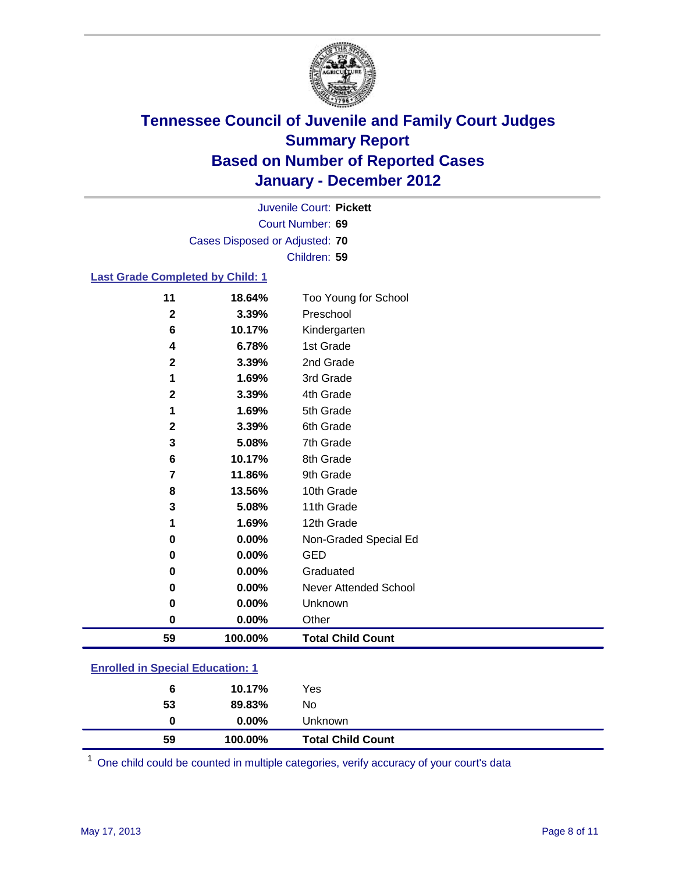

Court Number: **69** Juvenile Court: **Pickett** Cases Disposed or Adjusted: **70** Children: **59**

#### **Last Grade Completed by Child: 1**

| 11                                      | 18.64%  | Too Young for School         |  |
|-----------------------------------------|---------|------------------------------|--|
| $\mathbf{2}$                            | 3.39%   | Preschool                    |  |
| 6                                       | 10.17%  | Kindergarten                 |  |
| 4                                       | 6.78%   | 1st Grade                    |  |
| 2                                       | 3.39%   | 2nd Grade                    |  |
| 1                                       | 1.69%   | 3rd Grade                    |  |
| $\mathbf 2$                             | 3.39%   | 4th Grade                    |  |
| 1                                       | 1.69%   | 5th Grade                    |  |
| 2                                       | 3.39%   | 6th Grade                    |  |
| 3                                       | 5.08%   | 7th Grade                    |  |
| 6                                       | 10.17%  | 8th Grade                    |  |
| 7                                       | 11.86%  | 9th Grade                    |  |
| 8                                       | 13.56%  | 10th Grade                   |  |
| 3                                       | 5.08%   | 11th Grade                   |  |
| 1                                       | 1.69%   | 12th Grade                   |  |
| 0                                       | 0.00%   | Non-Graded Special Ed        |  |
| 0                                       | 0.00%   | <b>GED</b>                   |  |
| 0                                       | 0.00%   | Graduated                    |  |
| 0                                       | 0.00%   | <b>Never Attended School</b> |  |
| 0                                       | 0.00%   | Unknown                      |  |
| 0                                       | 0.00%   | Other                        |  |
| 59                                      | 100.00% | <b>Total Child Count</b>     |  |
| <b>Enrolled in Special Education: 1</b> |         |                              |  |

| 59                                       | 100.00%  | <b>Total Child Count</b> |  |
|------------------------------------------|----------|--------------------------|--|
| 0                                        | $0.00\%$ | Unknown                  |  |
| 53                                       | 89.83%   | No                       |  |
| 6                                        | 10.17%   | Yes                      |  |
| <u>Einvilled in Opecial Education. T</u> |          |                          |  |

One child could be counted in multiple categories, verify accuracy of your court's data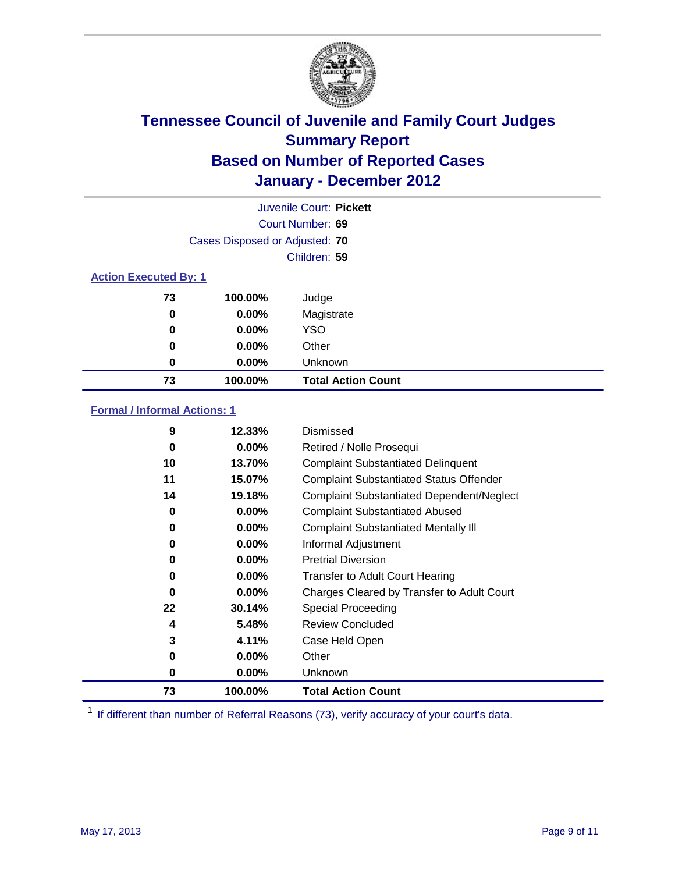

|                              | Juvenile Court: Pickett        |                           |  |  |  |
|------------------------------|--------------------------------|---------------------------|--|--|--|
|                              | Court Number: 69               |                           |  |  |  |
|                              | Cases Disposed or Adjusted: 70 |                           |  |  |  |
|                              | Children: 59                   |                           |  |  |  |
| <b>Action Executed By: 1</b> |                                |                           |  |  |  |
| 73                           | 100.00%                        | Judge                     |  |  |  |
| 0                            | $0.00\%$                       | Magistrate                |  |  |  |
| 0                            | $0.00\%$                       | <b>YSO</b>                |  |  |  |
| 0                            | 0.00%                          | Other                     |  |  |  |
| 0                            | 0.00%                          | Unknown                   |  |  |  |
| 73                           | 100.00%                        | <b>Total Action Count</b> |  |  |  |

### **Formal / Informal Actions: 1**

| 9  | 12.33%   | Dismissed                                        |
|----|----------|--------------------------------------------------|
| 0  | $0.00\%$ | Retired / Nolle Prosequi                         |
| 10 | 13.70%   | <b>Complaint Substantiated Delinquent</b>        |
| 11 | 15.07%   | <b>Complaint Substantiated Status Offender</b>   |
| 14 | 19.18%   | <b>Complaint Substantiated Dependent/Neglect</b> |
| 0  | $0.00\%$ | <b>Complaint Substantiated Abused</b>            |
| 0  | $0.00\%$ | <b>Complaint Substantiated Mentally III</b>      |
| 0  | $0.00\%$ | Informal Adjustment                              |
| 0  | $0.00\%$ | <b>Pretrial Diversion</b>                        |
| 0  | $0.00\%$ | <b>Transfer to Adult Court Hearing</b>           |
| 0  | $0.00\%$ | Charges Cleared by Transfer to Adult Court       |
| 22 | 30.14%   | Special Proceeding                               |
| 4  | 5.48%    | <b>Review Concluded</b>                          |
| 3  | 4.11%    | Case Held Open                                   |
| 0  | $0.00\%$ | Other                                            |
| 0  | $0.00\%$ | <b>Unknown</b>                                   |
| 73 | 100.00%  | <b>Total Action Count</b>                        |

<sup>1</sup> If different than number of Referral Reasons (73), verify accuracy of your court's data.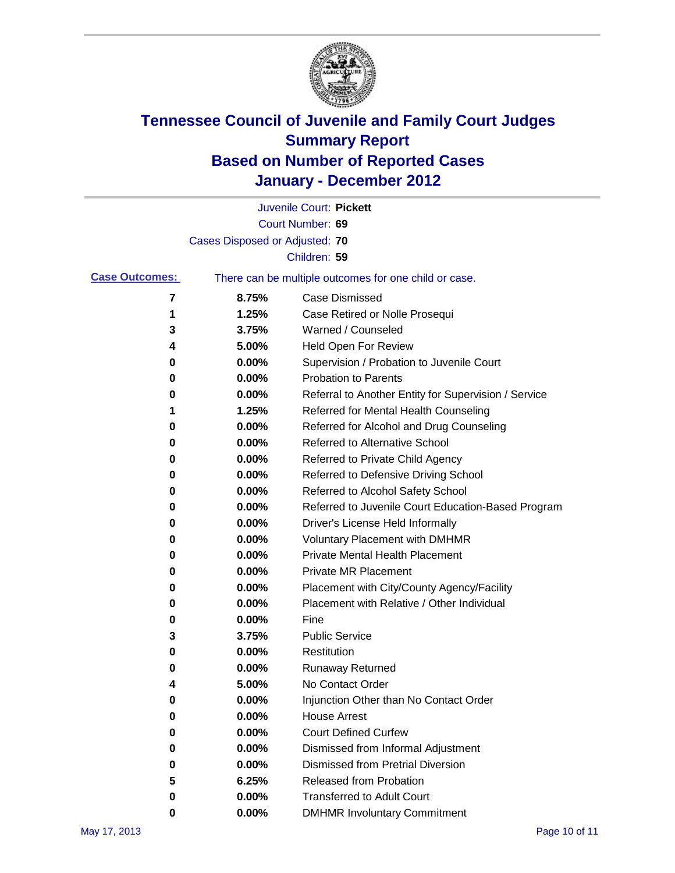

|                       |                                | Juvenile Court: Pickett                               |
|-----------------------|--------------------------------|-------------------------------------------------------|
|                       |                                | Court Number: 69                                      |
|                       | Cases Disposed or Adjusted: 70 |                                                       |
|                       |                                | Children: 59                                          |
| <b>Case Outcomes:</b> |                                | There can be multiple outcomes for one child or case. |
| 7                     | 8.75%                          | <b>Case Dismissed</b>                                 |
| 1                     | 1.25%                          | Case Retired or Nolle Prosequi                        |
| 3                     | 3.75%                          | Warned / Counseled                                    |
| 4                     | 5.00%                          | Held Open For Review                                  |
| 0                     | 0.00%                          | Supervision / Probation to Juvenile Court             |
| 0                     | 0.00%                          | <b>Probation to Parents</b>                           |
| 0                     | 0.00%                          | Referral to Another Entity for Supervision / Service  |
| 1                     | 1.25%                          | Referred for Mental Health Counseling                 |
| 0                     | 0.00%                          | Referred for Alcohol and Drug Counseling              |
| 0                     | 0.00%                          | <b>Referred to Alternative School</b>                 |
| 0                     | 0.00%                          | Referred to Private Child Agency                      |
| 0                     | 0.00%                          | Referred to Defensive Driving School                  |
| 0                     | 0.00%                          | Referred to Alcohol Safety School                     |
| 0                     | 0.00%                          | Referred to Juvenile Court Education-Based Program    |
| 0                     | 0.00%                          | Driver's License Held Informally                      |
| 0                     | 0.00%                          | <b>Voluntary Placement with DMHMR</b>                 |
| 0                     | 0.00%                          | <b>Private Mental Health Placement</b>                |
| 0                     | 0.00%                          | <b>Private MR Placement</b>                           |
| 0                     | 0.00%                          | Placement with City/County Agency/Facility            |
| 0                     | 0.00%                          | Placement with Relative / Other Individual            |
| 0                     | 0.00%                          | Fine                                                  |
| 3                     | 3.75%                          | <b>Public Service</b>                                 |
| 0                     | 0.00%                          | Restitution                                           |
| 0                     | 0.00%                          | Runaway Returned                                      |
| 4                     | 5.00%                          | No Contact Order                                      |
| 0                     | $0.00\%$                       | Injunction Other than No Contact Order                |
| 0                     | 0.00%                          | <b>House Arrest</b>                                   |
| 0                     | 0.00%                          | <b>Court Defined Curfew</b>                           |
| 0                     | 0.00%                          | Dismissed from Informal Adjustment                    |
| 0                     | 0.00%                          | <b>Dismissed from Pretrial Diversion</b>              |
| 5                     | 6.25%                          | <b>Released from Probation</b>                        |
| 0                     | 0.00%                          | <b>Transferred to Adult Court</b>                     |
| 0                     | $0.00\%$                       | <b>DMHMR Involuntary Commitment</b>                   |